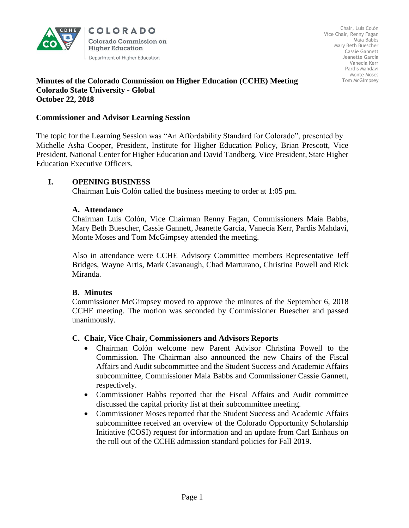

COLORADO **Colorado Commission on Higher Education** Department of Higher Education

#### **Minutes of the Colorado Commission on Higher Education (CCHE) Meeting Colorado State University - Global October 22, 2018**

#### **Commissioner and Advisor Learning Session**

The topic for the Learning Session was "An Affordability Standard for Colorado", presented by Michelle Asha Cooper, President, Institute for Higher Education Policy, Brian Prescott, Vice President, National Center for Higher Education and David Tandberg, Vice President, State Higher Education Executive Officers.

## **I. OPENING BUSINESS**

Chairman Luis Colón called the business meeting to order at 1:05 pm.

#### **A. Attendance**

Chairman Luis Colón, Vice Chairman Renny Fagan, Commissioners Maia Babbs, Mary Beth Buescher, Cassie Gannett, Jeanette Garcia, Vanecia Kerr, Pardis Mahdavi, Monte Moses and Tom McGimpsey attended the meeting.

Also in attendance were CCHE Advisory Committee members Representative Jeff Bridges, Wayne Artis, Mark Cavanaugh, Chad Marturano, Christina Powell and Rick Miranda.

#### **B. Minutes**

Commissioner McGimpsey moved to approve the minutes of the September 6, 2018 CCHE meeting. The motion was seconded by Commissioner Buescher and passed unanimously.

#### **C. Chair, Vice Chair, Commissioners and Advisors Reports**

- Chairman Colón welcome new Parent Advisor Christina Powell to the Commission. The Chairman also announced the new Chairs of the Fiscal Affairs and Audit subcommittee and the Student Success and Academic Affairs subcommittee, Commissioner Maia Babbs and Commissioner Cassie Gannett, respectively.
- Commissioner Babbs reported that the Fiscal Affairs and Audit committee discussed the capital priority list at their subcommittee meeting.
- Commissioner Moses reported that the Student Success and Academic Affairs subcommittee received an overview of the Colorado Opportunity Scholarship Initiative (COSI) request for information and an update from Carl Einhaus on the roll out of the CCHE admission standard policies for Fall 2019.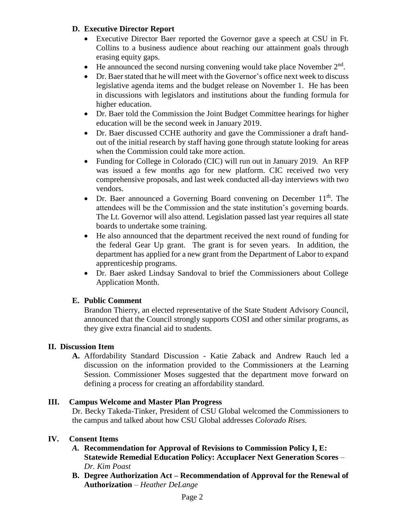## **D. Executive Director Report**

- Executive Director Baer reported the Governor gave a speech at CSU in Ft. Collins to a business audience about reaching our attainment goals through erasing equity gaps.
- He announced the second nursing convening would take place November  $2<sup>nd</sup>$ .
- Dr. Baer stated that he will meet with the Governor's office next week to discuss legislative agenda items and the budget release on November 1. He has been in discussions with legislators and institutions about the funding formula for higher education.
- Dr. Baer told the Commission the Joint Budget Committee hearings for higher education will be the second week in January 2019.
- Dr. Baer discussed CCHE authority and gave the Commissioner a draft handout of the initial research by staff having gone through statute looking for areas when the Commission could take more action.
- Funding for College in Colorado (CIC) will run out in January 2019. An RFP was issued a few months ago for new platform. CIC received two very comprehensive proposals, and last week conducted all-day interviews with two vendors.
- Dr. Baer announced a Governing Board convening on December  $11<sup>th</sup>$ . The attendees will be the Commission and the state institution's governing boards. The Lt. Governor will also attend. Legislation passed last year requires all state boards to undertake some training.
- He also announced that the department received the next round of funding for the federal Gear Up grant. The grant is for seven years. In addition, the department has applied for a new grant from the Department of Labor to expand apprenticeship programs.
- Dr. Baer asked Lindsay Sandoval to brief the Commissioners about College Application Month.

## **E. Public Comment**

Brandon Thierry, an elected representative of the State Student Advisory Council, announced that the Council strongly supports COSI and other similar programs, as they give extra financial aid to students.

## **II. Discussion Item**

**A.** Affordability Standard Discussion - Katie Zaback and Andrew Rauch led a discussion on the information provided to the Commissioners at the Learning Session. Commissioner Moses suggested that the department move forward on defining a process for creating an affordability standard.

## **III. Campus Welcome and Master Plan Progress**

Dr. Becky Takeda-Tinker, President of CSU Global welcomed the Commissioners to the campus and talked about how CSU Global addresses *Colorado Rises.*

## **IV. Consent Items**

- *A.* **Recommendation for Approval of Revisions to Commission Policy I, E: Statewide Remedial Education Policy: Accuplacer Next Generation Scores** – *Dr. Kim Poast*
- **B. Degree Authorization Act – Recommendation of Approval for the Renewal of Authorization** – *Heather DeLange*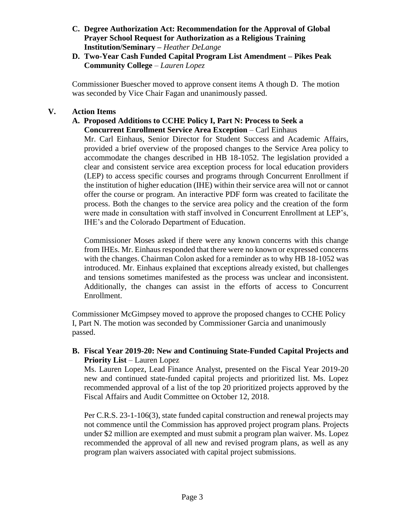## **C. Degree Authorization Act: Recommendation for the Approval of Global Prayer School Request for Authorization as a Religious Training Institution/Seminary –** *Heather DeLange*

**D. Two-Year Cash Funded Capital Program List Amendment – Pikes Peak Community College** – *Lauren Lopez*

 Commissioner Buescher moved to approve consent items A though D. The motion was seconded by Vice Chair Fagan and unanimously passed.

# **V. Action Items**

#### **A. Proposed Additions to CCHE Policy I, Part N: Process to Seek a Concurrent Enrollment Service Area Exception** – Carl Einhaus

Mr. Carl Einhaus, Senior Director for Student Success and Academic Affairs, provided a brief overview of the proposed changes to the Service Area policy to accommodate the changes described in HB 18-1052. The legislation provided a clear and consistent service area exception process for local education providers (LEP) to access specific courses and programs through Concurrent Enrollment if the institution of higher education (IHE) within their service area will not or cannot offer the course or program. An interactive PDF form was created to facilitate the process. Both the changes to the service area policy and the creation of the form were made in consultation with staff involved in Concurrent Enrollment at LEP's, IHE's and the Colorado Department of Education.

Commissioner Moses asked if there were any known concerns with this change from IHEs. Mr. Einhaus responded that there were no known or expressed concerns with the changes. Chairman Colon asked for a reminder as to why HB 18-1052 was introduced. Mr. Einhaus explained that exceptions already existed, but challenges and tensions sometimes manifested as the process was unclear and inconsistent. Additionally, the changes can assist in the efforts of access to Concurrent Enrollment.

Commissioner McGimpsey moved to approve the proposed changes to CCHE Policy I, Part N. The motion was seconded by Commissioner Garcia and unanimously passed.

# **B. Fiscal Year 2019-20: New and Continuing State-Funded Capital Projects and Priority List** – Lauren Lopez

Ms. Lauren Lopez, Lead Finance Analyst, presented on the Fiscal Year 2019-20 new and continued state-funded capital projects and prioritized list. Ms. Lopez recommended approval of a list of the top 20 prioritized projects approved by the Fiscal Affairs and Audit Committee on October 12, 2018.

Per C.R.S. 23-1-106(3), state funded capital construction and renewal projects may not commence until the Commission has approved project program plans. Projects under \$2 million are exempted and must submit a program plan waiver. Ms. Lopez recommended the approval of all new and revised program plans, as well as any program plan waivers associated with capital project submissions.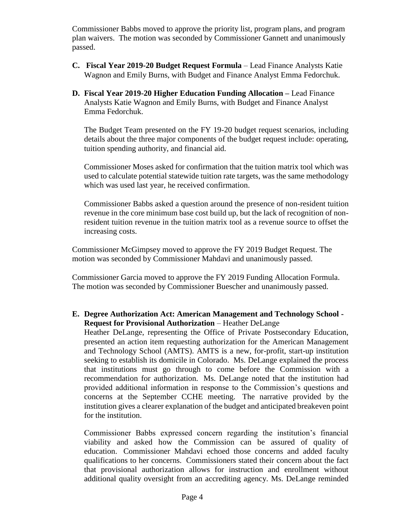Commissioner Babbs moved to approve the priority list, program plans, and program plan waivers. The motion was seconded by Commissioner Gannett and unanimously passed.

- **C. Fiscal Year 2019-20 Budget Request Formula** Lead Finance Analysts Katie Wagnon and Emily Burns, with Budget and Finance Analyst Emma Fedorchuk.
- **D. Fiscal Year 2019-20 Higher Education Funding Allocation –** Lead Finance Analysts Katie Wagnon and Emily Burns, with Budget and Finance Analyst Emma Fedorchuk.

The Budget Team presented on the FY 19-20 budget request scenarios, including details about the three major components of the budget request include: operating, tuition spending authority, and financial aid.

Commissioner Moses asked for confirmation that the tuition matrix tool which was used to calculate potential statewide tuition rate targets, was the same methodology which was used last year, he received confirmation.

Commissioner Babbs asked a question around the presence of non-resident tuition revenue in the core minimum base cost build up, but the lack of recognition of nonresident tuition revenue in the tuition matrix tool as a revenue source to offset the increasing costs.

Commissioner McGimpsey moved to approve the FY 2019 Budget Request. The motion was seconded by Commissioner Mahdavi and unanimously passed.

Commissioner Garcia moved to approve the FY 2019 Funding Allocation Formula. The motion was seconded by Commissioner Buescher and unanimously passed.

## **E. Degree Authorization Act: American Management and Technology School - Request for Provisional Authorization** – Heather DeLange

Heather DeLange, representing the Office of Private Postsecondary Education, presented an action item requesting authorization for the American Management and Technology School (AMTS). AMTS is a new, for-profit, start-up institution seeking to establish its domicile in Colorado. Ms. DeLange explained the process that institutions must go through to come before the Commission with a recommendation for authorization. Ms. DeLange noted that the institution had provided additional information in response to the Commission's questions and concerns at the September CCHE meeting. The narrative provided by the institution gives a clearer explanation of the budget and anticipated breakeven point for the institution.

Commissioner Babbs expressed concern regarding the institution's financial viability and asked how the Commission can be assured of quality of education. Commissioner Mahdavi echoed those concerns and added faculty qualifications to her concerns. Commissioners stated their concern about the fact that provisional authorization allows for instruction and enrollment without additional quality oversight from an accrediting agency. Ms. DeLange reminded